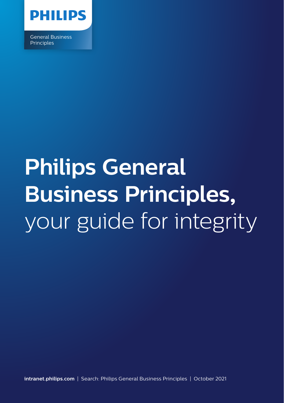

General Business **Principles** 

# **Philips General Business Principles,** your guide for integrity

**intranet.philips.com** | Search: Philips General Business Principles | October 2021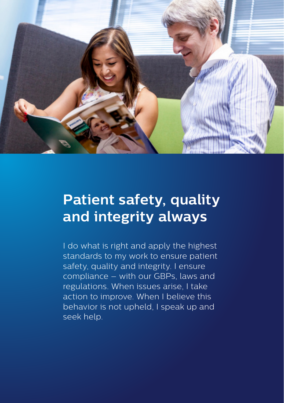

### **Patient safety, quality and integrity always**

I do what is right and apply the highest standards to my work to ensure patient safety, quality and integrity. I ensure compliance – with our GBPs, laws and regulations. When issues arise, I take action to improve. When I believe this behavior is not upheld, I speak up and seek help.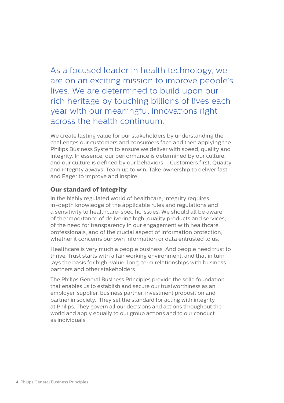As a focused leader in health technology, we are on an exciting mission to improve people's lives. We are determined to build upon our rich heritage by touching billions of lives each year with our meaningful innovations right across the health continuum.

We create lasting value for our stakeholders by understanding the challenges our customers and consumers face and then applying the Philips Business System to ensure we deliver with speed, quality and integrity. In essence, our performance is determined by our culture, and our culture is defined by our behaviors – Customers first, Quality and integrity always, Team up to win, Take ownership to deliver fast and Eager to improve and inspire.

#### **Our standard of integrity**

In the highly regulated world of healthcare, integrity requires in-depth knowledge of the applicable rules and regulations and a sensitivity to healthcare-specific issues. We should all be aware of the importance of delivering high-quality products and services, of the need for transparency in our engagement with healthcare professionals, and of the crucial aspect of information protection, whether it concerns our own information or data entrusted to us.

Healthcare is very much a people business. And people need trust to thrive. Trust starts with a fair working environment, and that in turn lays the basis for high-value, long-term relationships with business partners and other stakeholders.

The Philips General Business Principles provide the solid foundation that enables us to establish and secure our trustworthiness as an employer, supplier, business partner, investment proposition and partner in society. They set the standard for acting with integrity at Philips. They govern all our decisions and actions throughout the world and apply equally to our group actions and to our conduct as individuals.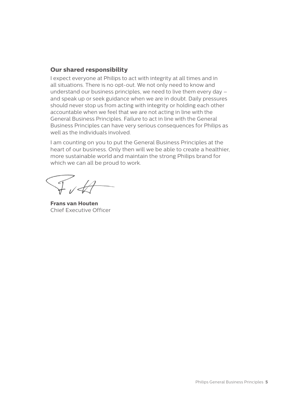#### **Our shared responsibility**

I expect everyone at Philips to act with integrity at all times and in all situations. There is no opt-out. We not only need to know and understand our business principles, we need to live them every day – and speak up or seek guidance when we are in doubt. Daily pressures should never stop us from acting with integrity or holding each other accountable when we feel that we are not acting in line with the General Business Principles. Failure to act in line with the General Business Principles can have very serious consequences for Philips as well as the individuals involved.

I am counting on you to put the General Business Principles at the heart of our business. Only then will we be able to create a healthier, more sustainable world and maintain the strong Philips brand for which we can all be proud to work.

 $I$  of  $H$ 

**Frans van Houten** Chief Executive Officer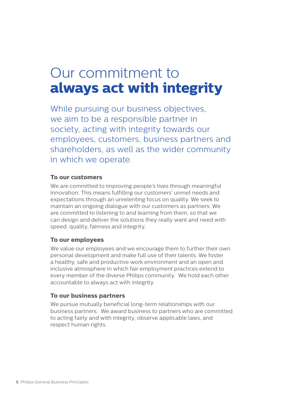### Our commitment to **always act with integrity**

While pursuing our business objectives, we aim to be a responsible partner in society, acting with integrity towards our employees, customers, business partners and shareholders, as well as the wider community in which we operate.

#### **To our customers**

We are committed to improving people's lives through meaningful innovation. This means fulfilling our customers' unmet needs and expectations through an unrelenting focus on quality. We seek to maintain an ongoing dialogue with our customers as partners. We are committed to listening to and learning from them, so that we can design and deliver the solutions they really want and need with speed, quality, fairness and integrity.

#### **To our employees**

We value our employees and we encourage them to further their own personal development and make full use of their talents. We foster a healthy, safe and productive work environment and an open and inclusive atmosphere in which fair employment practices extend to every member of the diverse Philips community. We hold each other accountable to always act with integrity.

#### **To our business partners**

We pursue mutually beneficial long-term relationships with our business partners. We award business to partners who are committed to acting fairly and with integrity, observe applicable laws, and respect human rights.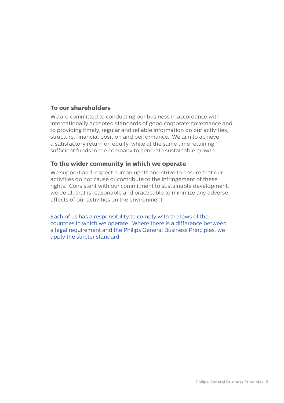#### **To our shareholders**

We are committed to conducting our business in accordance with internationally accepted standards of good corporate governance and to providing timely, regular and reliable information on our activities, structure, financial position and performance. We aim to achieve a satisfactory return on equity, while at the same time retaining sufficient funds in the company to generate sustainable growth.

#### **To the wider community in which we operate**

We support and respect human rights and strive to ensure that our activities do not cause or contribute to the infringement of these rights. Consistent with our commitment to sustainable development, we do all that is reasonable and practicable to minimize any adverse effects of our activities on the environment.

Each of us has a responsibility to comply with the laws of the countries in which we operate. Where there is a difference between a legal requirement and the Philips General Business Principles, we apply the stricter standard.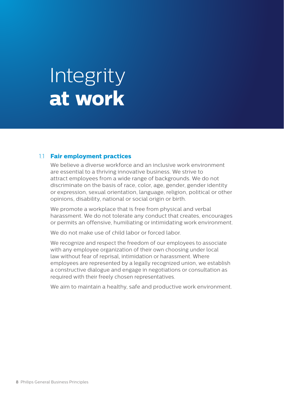## Integrity **at work**

#### 1.1 **Fair employment practices**

We believe a diverse workforce and an inclusive work environment are essential to a thriving innovative business. We strive to attract employees from a wide range of backgrounds. We do not discriminate on the basis of race, color, age, gender, gender identity or expression, sexual orientation, language, religion, political or other opinions, disability, national or social origin or birth.

We promote a workplace that is free from physical and verbal harassment. We do not tolerate any conduct that creates, encourages or permits an offensive, humiliating or intimidating work environment.

We do not make use of child labor or forced labor.

We recognize and respect the freedom of our employees to associate with any employee organization of their own choosing under local law without fear of reprisal, intimidation or harassment. Where employees are represented by a legally recognized union, we establish a constructive dialogue and engage in negotiations or consultation as required with their freely chosen representatives.

We aim to maintain a healthy, safe and productive work environment.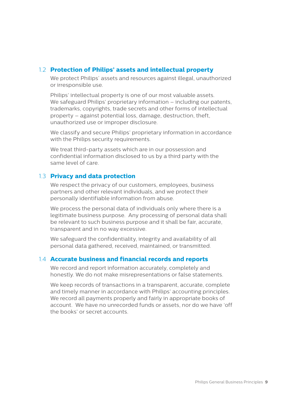#### 1.2 **Protection of Philips' assets and intellectual property**

We protect Philips' assets and resources against illegal, unauthorized or irresponsible use.

Philips' intellectual property is one of our most valuable assets. We safeguard Philips' proprietary information – including our patents, trademarks, copyrights, trade secrets and other forms of intellectual property – against potential loss, damage, destruction, theft, unauthorized use or improper disclosure.

We classify and secure Philips' proprietary information in accordance with the Philips security requirements.

We treat third-party assets which are in our possession and confidential information disclosed to us by a third party with the same level of care.

#### 1.3 **Privacy and data protection**

We respect the privacy of our customers, employees, business partners and other relevant individuals, and we protect their personally identifiable information from abuse.

We process the personal data of individuals only where there is a legitimate business purpose. Any processing of personal data shall be relevant to such business purpose and it shall be fair, accurate transparent and in no way excessive.

We safeguard the confidentiality, integrity and availability of all personal data gathered, received, maintained, or transmitted.

#### 1.4 **Accurate business and financial records and reports**

We record and report information accurately, completely and honestly. We do not make misrepresentations or false statements.

We keep records of transactions in a transparent, accurate, complete and timely manner in accordance with Philips' accounting principles. We record all payments properly and fairly in appropriate books of account. We have no unrecorded funds or assets, nor do we have 'off the books' or secret accounts.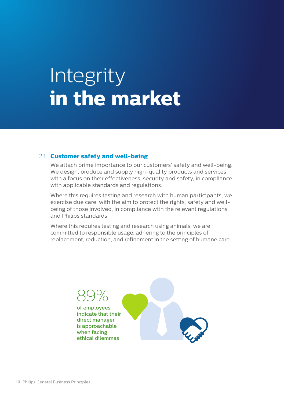## **Integrity in the market**

#### 2.1 **Customer safety and well-being**

We attach prime importance to our customers' safety and well-being. We design, produce and supply high-quality products and services with a focus on their effectiveness, security and safety, in compliance with applicable standards and regulations.

Where this requires testing and research with human participants, we exercise due care, with the aim to protect the rights, safety and wellbeing of those involved, in compliance with the relevant regulations and Philips standards.

Where this requires testing and research using animals, we are committed to responsible usage, adhering to the principles of replacement, reduction, and refinement in the setting of humane care.

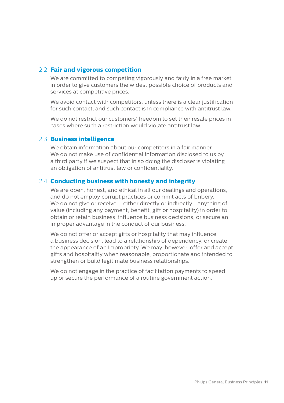#### 2.2 **Fair and vigorous competition**

We are committed to competing vigorously and fairly in a free market in order to give customers the widest possible choice of products and services at competitive prices.

We avoid contact with competitors, unless there is a clear justification for such contact, and such contact is in compliance with antitrust law.

We do not restrict our customers' freedom to set their resale prices in cases where such a restriction would violate antitrust law.

#### 2.3 **Business intelligence**

We obtain information about our competitors in a fair manner. We do not make use of confidential information disclosed to us by a third party if we suspect that in so doing the discloser is violating an obligation of antitrust law or confidentiality.

#### 2.4 **Conducting business with honesty and integrity**

We are open, honest, and ethical in all our dealings and operations, and do not employ corrupt practices or commit acts of bribery. We do not give or receive – either directly or indirectly –anything of value (including any payment, benefit, gift or hospitality) in order to obtain or retain business, influence business decisions, or secure an improper advantage in the conduct of our business.

We do not offer or accept gifts or hospitality that may influence a business decision, lead to a relationship of dependency, or create the appearance of an impropriety. We may, however, offer and accept gifts and hospitality when reasonable, proportionate and intended to strengthen or build legitimate business relationships.

We do not engage in the practice of facilitation payments to speed up or secure the performance of a routine government action.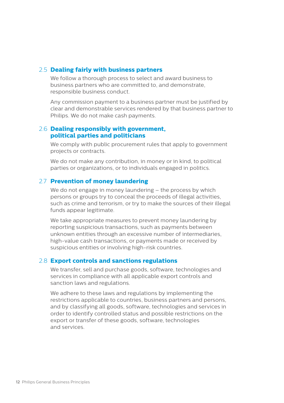#### 2.5 **Dealing fairly with business partners**

We follow a thorough process to select and award business to business partners who are committed to, and demonstrate, responsible business conduct.

Any commission payment to a business partner must be justified by clear and demonstrable services rendered by that business partner to Philips. We do not make cash payments.

#### 2.6 **Dealing responsibly with government, political parties and politicians**

We comply with public procurement rules that apply to government projects or contracts.

We do not make any contribution, in money or in kind, to political parties or organizations, or to individuals engaged in politics.

#### 2.7 **Prevention of money laundering**

We do not engage in money laundering – the process by which persons or groups try to conceal the proceeds of illegal activities, such as crime and terrorism, or try to make the sources of their illegal funds appear legitimate.

We take appropriate measures to prevent money laundering by reporting suspicious transactions, such as payments between unknown entities through an excessive number of intermediaries, high-value cash transactions, or payments made or received by suspicious entities or involving high-risk countries.

#### 2.8 **Export controls and sanctions regulations**

We transfer, sell and purchase goods, software, technologies and services in compliance with all applicable export controls and sanction laws and regulations.

We adhere to these laws and regulations by implementing the restrictions applicable to countries, business partners and persons, and by classifying all goods, software, technologies and services in order to identify controlled status and possible restrictions on the export or transfer of these goods, software, technologies and services.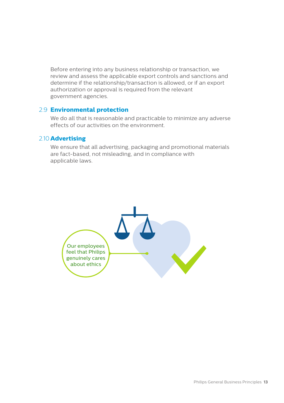Before entering into any business relationship or transaction, we review and assess the applicable export controls and sanctions and determine if the relationship/transaction is allowed, or if an export authorization or approval is required from the relevant government agencies.

#### 2.9 **Environmental protection**

We do all that is reasonable and practicable to minimize any adverse effects of our activities on the environment.

#### 2.10 **Advertising**

We ensure that all advertising, packaging and promotional materials are fact-based, not misleading, and in compliance with applicable laws.

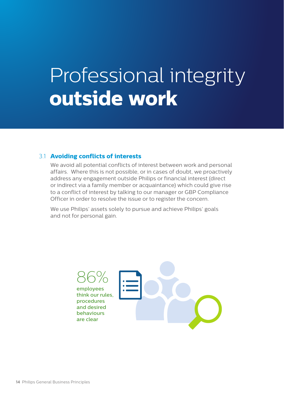## Professional integrity **outside work**

#### 3.1 **Avoiding conflicts of interests**

We avoid all potential conflicts of interest between work and personal affairs. Where this is not possible, or in cases of doubt, we proactively address any engagement outside Philips or financial interest (direct or indirect via a family member or acquaintance) which could give rise to a conflict of interest by talking to our manager or GBP Compliance Officer in order to resolve the issue or to register the concern.

We use Philips' assets solely to pursue and achieve Philips' goals and not for personal gain.

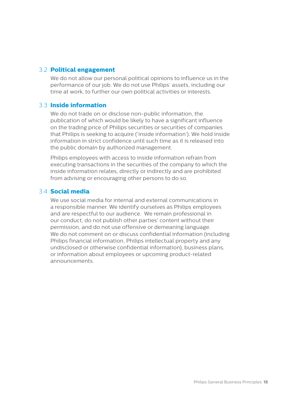#### 3.2 **Political engagement**

We do not allow our personal political opinions to influence us in the performance of our job. We do not use Philips' assets, including our time at work, to further our own political activities or interests.

#### 3.3 **Inside information**

We do not trade on or disclose non-public information, the publication of which would be likely to have a significant influence on the trading price of Philips securities or securities of companies that Philips is seeking to acquire ('inside information'). We hold inside information in strict confidence until such time as it is released into the public domain by authorized management.

Philips employees with access to inside information refrain from executing transactions in the securities of the company to which the inside information relates, directly or indirectly and are prohibited from advising or encouraging other persons to do so.

#### 3.4 **Social media**

We use social media for internal and external communications in a responsible manner. We identify ourselves as Philips employees and are respectful to our audience. We remain professional in our conduct, do not publish other parties' content without their permission, and do not use offensive or demeaning language. We do not comment on or discuss confidential information (including Philips financial information, Philips intellectual property and any undisclosed or otherwise confidential information), business plans, or information about employees or upcoming product-related announcements.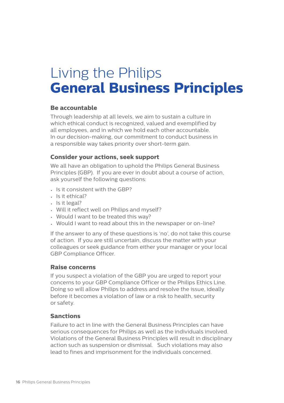## Living the Philips **General Business Principles**

#### **Be accountable**

Through leadership at all levels, we aim to sustain a culture in which ethical conduct is recognized, valued and exemplified by all employees, and in which we hold each other accountable. In our decision-making, our commitment to conduct business in a responsible way takes priority over short-term gain.

#### **Consider your actions, seek support**

We all have an obligation to uphold the Philips General Business Principles (GBP). If you are ever in doubt about a course of action, ask yourself the following questions:

- Is it consistent with the GBP?
- Is it ethical?
- Is it legal?
- Will it reflect well on Philips and myself?
- Would I want to be treated this way?
- Would I want to read about this in the newspaper or on-line?

If the answer to any of these questions is 'no', do not take this course of action. If you are still uncertain, discuss the matter with your colleagues or seek guidance from either your manager or your local GBP Compliance Officer.

#### **Raise concerns**

If you suspect a violation of the GBP you are urged to report your concerns to your GBP Compliance Officer or the Philips Ethics Line. Doing so will allow Philips to address and resolve the issue, ideally before it becomes a violation of law or a risk to health, security or safety.

#### **Sanctions**

Failure to act in line with the General Business Principles can have serious consequences for Philips as well as the individuals involved. Violations of the General Business Principles will result in disciplinary action such as suspension or dismissal. Such violations may also lead to fines and imprisonment for the individuals concerned.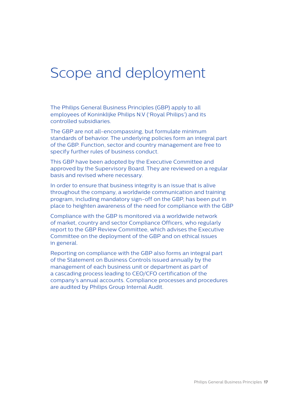### Scope and deployment

The Philips General Business Principles (GBP) apply to all employees of Koninklijke Philips N.V ('Royal Philips') and its controlled subsidiaries.

The GBP are not all-encompassing, but formulate minimum standards of behavior. The underlying policies form an integral part of the GBP. Function, sector and country management are free to specify further rules of business conduct.

This GBP have been adopted by the Executive Committee and approved by the Supervisory Board. They are reviewed on a regular basis and revised where necessary.

In order to ensure that business integrity is an issue that is alive throughout the company, a worldwide communication and training program, including mandatory sign-off on the GBP, has been put in place to heighten awareness of the need for compliance with the GBP

Compliance with the GBP is monitored via a worldwide network of market, country and sector Compliance Officers, who regularly report to the GBP Review Committee, which advises the Executive Committee on the deployment of the GBP and on ethical issues in general.

Reporting on compliance with the GBP also forms an integral part of the Statement on Business Controls issued annually by the management of each business unit or department as part of a cascading process leading to CEO/CFO certification of the company's annual accounts. Compliance processes and procedures are audited by Philips Group Internal Audit.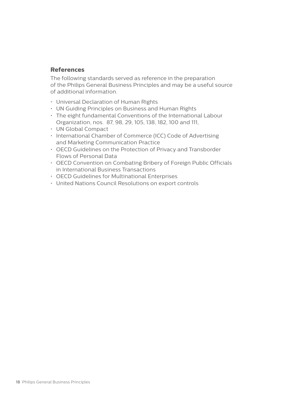#### **References**

The following standards served as reference in the preparation of the Philips General Business Principles and may be a useful source of additional information.

- Universal Declaration of Human Rights
- UN Guiding Principles on Business and Human Rights
- The eight fundamental Conventions of the International Labour Organization, nos. 87, 98, 29, 105, 138, 182, 100 and 111,
- UN Global Compact
- International Chamber of Commerce (ICC) Code of Advertising and Marketing Communication Practice
- OECD Guidelines on the Protection of Privacy and Transborder Flows of Personal Data
- OECD Convention on Combating Bribery of Foreign Public Officials in International Business Transactions
- OECD Guidelines for Multinational Enterprises
- United Nations Council Resolutions on export controls